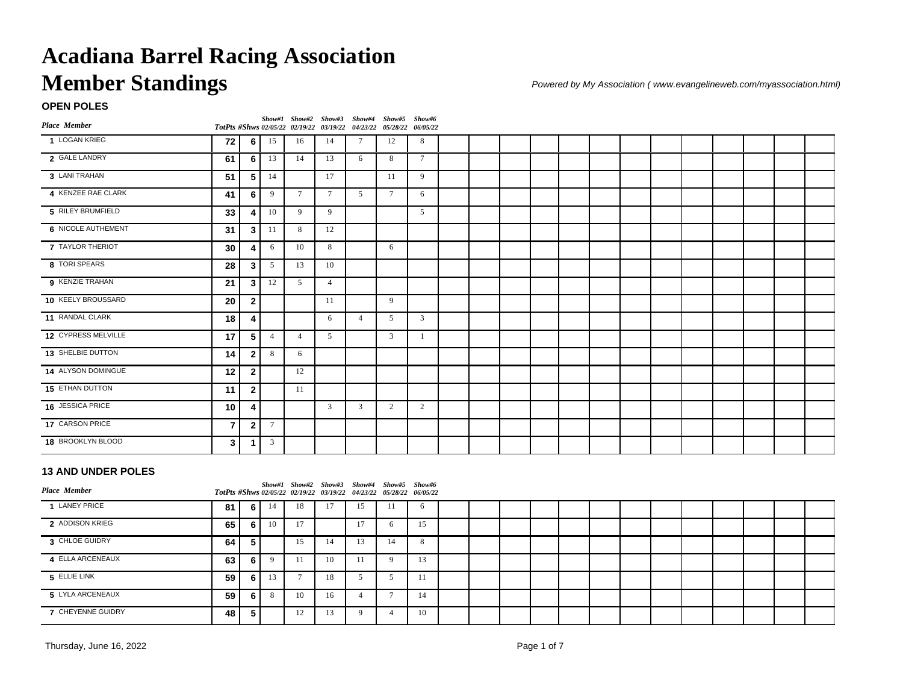## **OPEN POLES**

| Place Member              |                |                |                |                | Show#1 Show#2 Show#3 Show#4 Show#5 Show#6<br>TotPts #Shws 02/05/22 02/19/22 03/19/22 04/23/22 05/28/22 06/05/22 |                |                |              |  |  |  |  |  |  |  |
|---------------------------|----------------|----------------|----------------|----------------|-----------------------------------------------------------------------------------------------------------------|----------------|----------------|--------------|--|--|--|--|--|--|--|
| 1 LOGAN KRIEG             | 72             | 6 <sup>1</sup> | 15             | 16             | 14                                                                                                              | $\tau$         | 12             | 8            |  |  |  |  |  |  |  |
| 2 GALE LANDRY             | 61             | 6              | 13             | 14             | 13                                                                                                              | 6              | 8              | $\tau$       |  |  |  |  |  |  |  |
| 3 LANI TRAHAN             | 51             | 5 <sub>1</sub> | 14             |                | 17                                                                                                              |                | 11             | 9            |  |  |  |  |  |  |  |
| 4 KENZEE RAE CLARK        | 41             | 6              | 9              | $\tau$         | $7\phantom{.0}$                                                                                                 | 5              | $\tau$         | 6            |  |  |  |  |  |  |  |
| 5 RILEY BRUMFIELD         | 33             | 4              | 10             | 9              | 9                                                                                                               |                |                | 5            |  |  |  |  |  |  |  |
| <b>6 NICOLE AUTHEMENT</b> | 31             | 3 <sup>1</sup> | 11             | 8              | 12                                                                                                              |                |                |              |  |  |  |  |  |  |  |
| 7 TAYLOR THERIOT          | 30             | 4              | 6              | 10             | 8                                                                                                               |                | 6              |              |  |  |  |  |  |  |  |
| 8 TORI SPEARS             | 28             | $\mathbf{3}$   | 5              | 13             | 10                                                                                                              |                |                |              |  |  |  |  |  |  |  |
| 9 KENZIE TRAHAN           | 21             | 3 <sup>1</sup> | 12             | 5              | $\overline{4}$                                                                                                  |                |                |              |  |  |  |  |  |  |  |
| 10 KEELY BROUSSARD        | 20             | $\mathbf{2}$   |                |                | 11                                                                                                              |                | 9              |              |  |  |  |  |  |  |  |
| 11 RANDAL CLARK           | 18             | 4              |                |                | 6                                                                                                               | $\overline{4}$ | 5              | $\mathbf{3}$ |  |  |  |  |  |  |  |
| 12 CYPRESS MELVILLE       | 17             | 5              | $\overline{4}$ | $\overline{4}$ | 5                                                                                                               |                | $\overline{3}$ |              |  |  |  |  |  |  |  |
| 13 SHELBIE DUTTON         | 14             | $\overline{2}$ | 8              | 6              |                                                                                                                 |                |                |              |  |  |  |  |  |  |  |
| 14 ALYSON DOMINGUE        | 12             | $\mathbf{2}$   |                | 12             |                                                                                                                 |                |                |              |  |  |  |  |  |  |  |
| 15 ETHAN DUTTON           | 11             | $\mathbf{2}$   |                | 11             |                                                                                                                 |                |                |              |  |  |  |  |  |  |  |
| 16 JESSICA PRICE          | 10             | 4              |                |                | $\overline{3}$                                                                                                  | $\overline{3}$ | 2              | 2            |  |  |  |  |  |  |  |
| 17 CARSON PRICE           | $\overline{7}$ | $\overline{2}$ | $\tau$         |                |                                                                                                                 |                |                |              |  |  |  |  |  |  |  |
| 18 BROOKLYN BLOOD         | 3              | 1              | 3              |                |                                                                                                                 |                |                |              |  |  |  |  |  |  |  |

### **13 AND UNDER POLES**

| <b>Place Member</b> |      |       |    |    |    | Show#1 Show#2 Show#3 Show#4 Show#5 Show#6<br>TotPts #Shws 02/05/22 02/19/22 03/19/22 04/23/22 05/28/22 06/05/22 |    |    |  |  |  |  |  |  |  |
|---------------------|------|-------|----|----|----|-----------------------------------------------------------------------------------------------------------------|----|----|--|--|--|--|--|--|--|
| 1 LANEY PRICE       | 81 I | - 6 I | 14 | 18 |    | 15                                                                                                              | 11 | 6  |  |  |  |  |  |  |  |
| 2 ADDISON KRIEG     | 65 I | 6 I   | 10 | 17 |    | 17                                                                                                              |    | 15 |  |  |  |  |  |  |  |
| 3 CHLOE GUIDRY      | 64 I | 5.    |    | 15 | 14 | 13                                                                                                              | 14 | 8  |  |  |  |  |  |  |  |
| 4 ELLA ARCENEAUX    | 63 I | 6 I   |    |    | 10 |                                                                                                                 |    | 13 |  |  |  |  |  |  |  |
| 5 ELLIE LINK        | 59 I | 6 I   | 13 |    | 18 |                                                                                                                 |    | 11 |  |  |  |  |  |  |  |
| 5 LYLA ARCENEAUX    | 59 I | 6 I   | 8  | 10 | 16 |                                                                                                                 |    | 14 |  |  |  |  |  |  |  |
| 7 CHEYENNE GUIDRY   | 48   | 5.    |    | 12 |    |                                                                                                                 |    | 10 |  |  |  |  |  |  |  |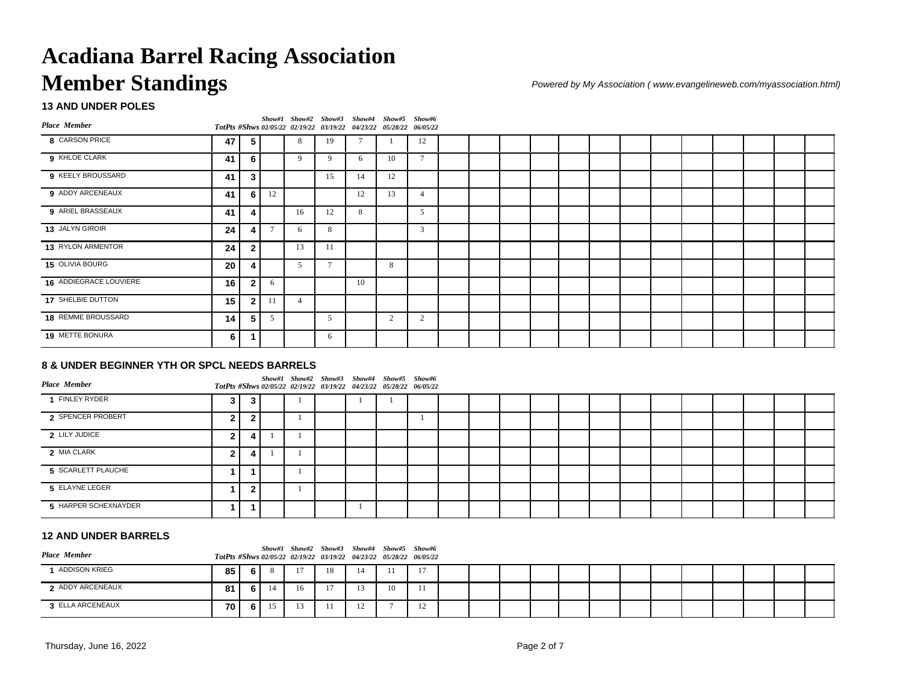### **13 AND UNDER POLES**

| Place Member           |                 |                |                |                | Show#1 Show#2 Show#3 Show#4 Show#5 Show#6<br>TotPts #Shws 02/05/22 02/19/22 03/19/22 04/23/22 05/28/22 06/05/22 |                |                |                |  |  |  |  |  |  |  |
|------------------------|-----------------|----------------|----------------|----------------|-----------------------------------------------------------------------------------------------------------------|----------------|----------------|----------------|--|--|--|--|--|--|--|
| 8 CARSON PRICE         | 47              | 5              |                | 8              | 19                                                                                                              | $\overline{a}$ |                | 12             |  |  |  |  |  |  |  |
| 9 KHLOE CLARK          | 41              | 6              |                | 9              | 9                                                                                                               | 6              | 10             | $\overline{a}$ |  |  |  |  |  |  |  |
| 9 KEELY BROUSSARD      | 41              | $\mathbf{3}$   |                |                | 15                                                                                                              | 14             | 12             |                |  |  |  |  |  |  |  |
| 9 ADDY ARCENEAUX       | 41              | 6 I            | 12             |                |                                                                                                                 | 12             | 13             |                |  |  |  |  |  |  |  |
| 9 ARIEL BRASSEAUX      | 41              | 4              |                | 16             | 12                                                                                                              | 8              |                | .5             |  |  |  |  |  |  |  |
| 13 JALYN GIROIR        | 24              | 4              | $\overline{ }$ | 6              | 8                                                                                                               |                |                | 3              |  |  |  |  |  |  |  |
| 13 RYLON ARMENTOR      | 24              | $\mathbf{2}$   |                | 13             | 11                                                                                                              |                |                |                |  |  |  |  |  |  |  |
| 15 OLIVIA BOURG        | 20              | Δ              |                | 5              | $\overline{a}$                                                                                                  |                | 8              |                |  |  |  |  |  |  |  |
| 16 ADDIEGRACE LOUVIERE | 16              | $\overline{2}$ | 6              |                |                                                                                                                 | 10             |                |                |  |  |  |  |  |  |  |
| 17 SHELBIE DUTTON      | 15 <sup>1</sup> | $\mathbf{2}$   |                | $\overline{4}$ |                                                                                                                 |                |                |                |  |  |  |  |  |  |  |
| 18 REMME BROUSSARD     | 14              | 5 <sup>1</sup> | 5              |                | .5                                                                                                              |                | $\overline{c}$ | 2              |  |  |  |  |  |  |  |
| 19 METTE BONURA        | 6               |                |                |                | 6                                                                                                               |                |                |                |  |  |  |  |  |  |  |

### **8 & UNDER BEGINNER YTH OR SPCL NEEDS BARRELS**

| <b>Place Member</b>  |   |   |  | Show#1 Show#2 Show#3 Show#4 Show#5 Show#6<br>TotPts #Shws 02/05/22 02/19/22 03/19/22 04/23/22 05/28/22 06/05/22 |  |  |  |  |  |  |  |  |
|----------------------|---|---|--|-----------------------------------------------------------------------------------------------------------------|--|--|--|--|--|--|--|--|
| 1 FINLEY RYDER       | 3 |   |  |                                                                                                                 |  |  |  |  |  |  |  |  |
| 2 SPENCER PROBERT    |   |   |  |                                                                                                                 |  |  |  |  |  |  |  |  |
| 2 LILY JUDICE        | າ |   |  |                                                                                                                 |  |  |  |  |  |  |  |  |
| 2 MIA CLARK          | ົ | 4 |  |                                                                                                                 |  |  |  |  |  |  |  |  |
| 5 SCARLETT PLAUCHE   |   |   |  |                                                                                                                 |  |  |  |  |  |  |  |  |
| 5 ELAYNE LEGER       |   |   |  |                                                                                                                 |  |  |  |  |  |  |  |  |
| 5 HARPER SCHEXNAYDER |   |   |  |                                                                                                                 |  |  |  |  |  |  |  |  |

### **12 AND UNDER BARRELS**

| <b>Place Member</b>  |      |       |    | Show#1 Show#2 Show#3 Show#4 Show#5 Show#6<br>TotPts #Shws 02/05/22 02/19/22 03/19/22 04/23/22 05/28/22 06/05/22 |    |                |    |    |  |  |  |  |  |  |  |
|----------------------|------|-------|----|-----------------------------------------------------------------------------------------------------------------|----|----------------|----|----|--|--|--|--|--|--|--|
| <b>ADDISON KRIEG</b> | 85 I | 6 I   |    | 17                                                                                                              | 18 | 14             |    | 17 |  |  |  |  |  |  |  |
| 2 ADDY ARCENEAUX     | 81 I | - 6 I | 14 | 16                                                                                                              | 17 |                | 10 |    |  |  |  |  |  |  |  |
| 3 ELLA ARCENEAUX     | 70 I | 6 I   | 15 |                                                                                                                 |    | 1 <sub>2</sub> |    | 12 |  |  |  |  |  |  |  |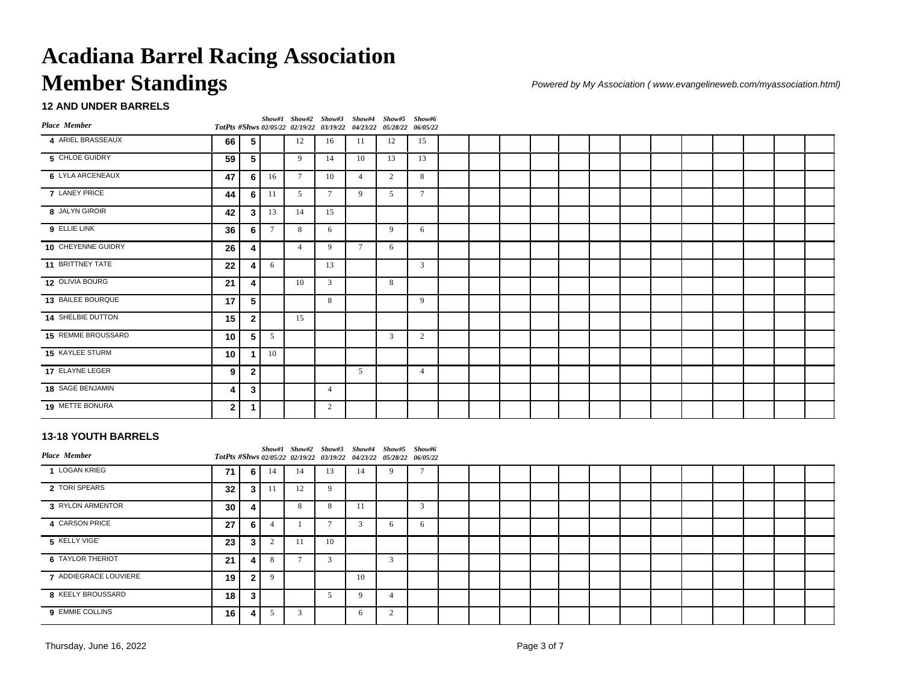### **12 AND UNDER BARRELS**

| Place Member       |              |                |        |                 | Show#1 Show#2 Show#3 Show#4 Show#5 Show#6<br>TotPts #Shws 02/05/22 02/19/22 03/19/22 04/23/22 05/28/22 06/05/22 |                |    |                |  |  |  |  |  |  |  |
|--------------------|--------------|----------------|--------|-----------------|-----------------------------------------------------------------------------------------------------------------|----------------|----|----------------|--|--|--|--|--|--|--|
| 4 ARIEL BRASSEAUX  | 66           | 5              |        | 12              | 16                                                                                                              | 11             | 12 | 15             |  |  |  |  |  |  |  |
| 5 CHLOE GUIDRY     | 59           | 5              |        | 9               | 14                                                                                                              | 10             | 13 | 13             |  |  |  |  |  |  |  |
| 6 LYLA ARCENEAUX   | 47           | 6              | 16     | $7\phantom{.0}$ | 10                                                                                                              | $\overline{4}$ | 2  | 8              |  |  |  |  |  |  |  |
| 7 LANEY PRICE      | 44           | 6 <sup>1</sup> | 11     | 5               | $7\phantom{.0}$                                                                                                 | 9              | 5  | $\overline{7}$ |  |  |  |  |  |  |  |
| 8 JALYN GIROIR     | 42           | $\mathbf{3}$   | 13     | 14              | 15                                                                                                              |                |    |                |  |  |  |  |  |  |  |
| 9 ELLIE LINK       | 36           | 6              | $\tau$ | 8               | 6                                                                                                               |                | 9  | 6              |  |  |  |  |  |  |  |
| 10 CHEYENNE GUIDRY | 26           | 4              |        | $\overline{4}$  | 9                                                                                                               | $\tau$         | 6  |                |  |  |  |  |  |  |  |
| 11 BRITTNEY TATE   | 22           | 4              | 6      |                 | 13                                                                                                              |                |    | 3              |  |  |  |  |  |  |  |
| 12 OLIVIA BOURG    | 21           | 4              |        | 10              | $\overline{3}$                                                                                                  |                | 8  |                |  |  |  |  |  |  |  |
| 13 BAILEE BOURQUE  | 17           | 5              |        |                 | 8                                                                                                               |                |    | 9              |  |  |  |  |  |  |  |
| 14 SHELBIE DUTTON  | 15           | $\overline{2}$ |        | 15              |                                                                                                                 |                |    |                |  |  |  |  |  |  |  |
| 15 REMME BROUSSARD | 10           | 5              | 5      |                 |                                                                                                                 |                | 3  | 2              |  |  |  |  |  |  |  |
| 15 KAYLEE STURM    | 10           |                | 10     |                 |                                                                                                                 |                |    |                |  |  |  |  |  |  |  |
| 17 ELAYNE LEGER    | 9            | $\mathbf{2}$   |        |                 |                                                                                                                 | 5              |    | $\overline{4}$ |  |  |  |  |  |  |  |
| 18 SAGE BENJAMIN   | 4            | 3              |        |                 | $\overline{4}$                                                                                                  |                |    |                |  |  |  |  |  |  |  |
| 19 METTE BONURA    | $\mathbf{2}$ | 1              |        |                 | 2                                                                                                               |                |    |                |  |  |  |  |  |  |  |

#### **13-18 YOUTH BARRELS**

| Place Member            |                 |                |    |    | Show#1 Show#2 Show#3 Show#4 Show#5 Show#6<br>TotPts #Shws 02/05/22 02/19/22 03/19/22 04/23/22 05/28/22 06/05/22 |              |        |   |  |  |  |  |  |  |  |
|-------------------------|-----------------|----------------|----|----|-----------------------------------------------------------------------------------------------------------------|--------------|--------|---|--|--|--|--|--|--|--|
| 1 LOGAN KRIEG           | 71              | - 6 I          | 14 | 14 |                                                                                                                 |              |        |   |  |  |  |  |  |  |  |
| 2 TORI SPEARS           | 32 <sub>1</sub> | 3 <sup>1</sup> |    | 12 | $\Omega$                                                                                                        |              |        |   |  |  |  |  |  |  |  |
| 3 RYLON ARMENTOR        | 30 <sub>1</sub> | 4              |    | 8  |                                                                                                                 | -1.1         |        | 3 |  |  |  |  |  |  |  |
| 4 CARSON PRICE          | 27              | 6 <sup>1</sup> |    |    |                                                                                                                 | $\sim$       | h      | 6 |  |  |  |  |  |  |  |
| 5 KELLY VIGE'           | 23              | 3 <sub>1</sub> |    |    | 10                                                                                                              |              |        |   |  |  |  |  |  |  |  |
| <b>6 TAYLOR THERIOT</b> | 21              | $\overline{4}$ |    |    |                                                                                                                 |              | $\sim$ |   |  |  |  |  |  |  |  |
| 7 ADDIEGRACE LOUVIERE   | 19 I            | 2 <sup>1</sup> |    |    |                                                                                                                 | 10           |        |   |  |  |  |  |  |  |  |
| 8 KEELY BROUSSARD       | 18 I            | 3 <sup>1</sup> |    |    |                                                                                                                 | $\Omega$     |        |   |  |  |  |  |  |  |  |
| 9 EMMIE COLLINS         | 16 I            | 4              |    |    |                                                                                                                 | <sub>n</sub> |        |   |  |  |  |  |  |  |  |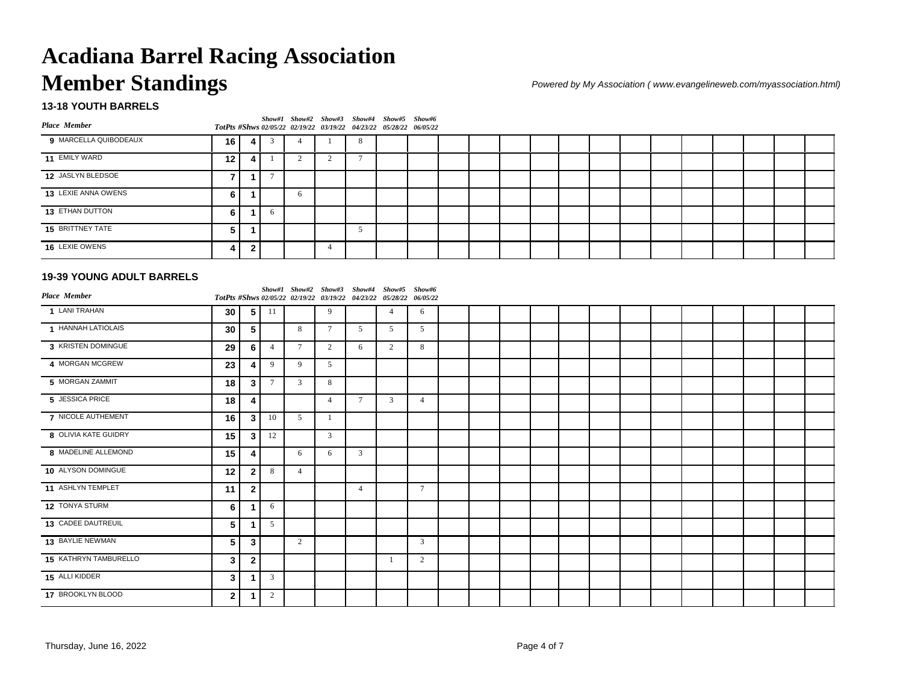### **13-18 YOUTH BARRELS**

| <b>Place Member</b>   |                 |              |   | Show#1 Show#2 Show#3 Show#4 Show#5 Show#6<br>TotPts #Shws 02/05/22 02/19/22 03/19/22 04/23/22 05/28/22 06/05/22 |  |  |  |  |  |  |  |  |  |
|-----------------------|-----------------|--------------|---|-----------------------------------------------------------------------------------------------------------------|--|--|--|--|--|--|--|--|--|
| 9 MARCELLA QUIBODEAUX | 16 I            | -41          |   |                                                                                                                 |  |  |  |  |  |  |  |  |  |
| 11 EMILY WARD         | 12 <sup>1</sup> | -4           |   |                                                                                                                 |  |  |  |  |  |  |  |  |  |
| 12 JASLYN BLEDSOE     |                 |              |   |                                                                                                                 |  |  |  |  |  |  |  |  |  |
| 13 LEXIE ANNA OWENS   | 6               |              |   | 6                                                                                                               |  |  |  |  |  |  |  |  |  |
| 13 ETHAN DUTTON       | 6               |              | h |                                                                                                                 |  |  |  |  |  |  |  |  |  |
| 15 BRITTNEY TATE      | -5              |              |   |                                                                                                                 |  |  |  |  |  |  |  |  |  |
| 16 LEXIE OWENS        | д               | $\mathbf{2}$ |   |                                                                                                                 |  |  |  |  |  |  |  |  |  |

### **19-39 YOUNG ADULT BARRELS**

| <b>Place Member</b>   |              |                |                |                 | Show#1 Show#2 Show#3 Show#4 Show#5 Show#6<br>TotPts #Shws 02/05/22 02/19/22 03/19/22 04/23/22 05/28/22 06/05/22 |                |                |                |  |  |  |  |  |  |  |
|-----------------------|--------------|----------------|----------------|-----------------|-----------------------------------------------------------------------------------------------------------------|----------------|----------------|----------------|--|--|--|--|--|--|--|
| 1 LANI TRAHAN         | 30           | 5              | 11             |                 | 9                                                                                                               |                | $\overline{4}$ | 6              |  |  |  |  |  |  |  |
| 1 HANNAH LATIOLAIS    | 30           | 5              |                | 8               | $7\phantom{.0}$                                                                                                 | 5              | 5              | 5              |  |  |  |  |  |  |  |
| 3 KRISTEN DOMINGUE    | 29           | 6              | $\overline{4}$ | $7\phantom{.0}$ | 2                                                                                                               | 6              | 2              | 8              |  |  |  |  |  |  |  |
| 4 MORGAN MCGREW       | 23           | 4              | 9              | 9               | 5                                                                                                               |                |                |                |  |  |  |  |  |  |  |
| 5 MORGAN ZAMMIT       | 18           | 3              | $\overline{7}$ | 3               | 8                                                                                                               |                |                |                |  |  |  |  |  |  |  |
| 5 JESSICA PRICE       | 18           | 4              |                |                 | $\overline{4}$                                                                                                  | $\tau$         | 3              | $\overline{4}$ |  |  |  |  |  |  |  |
| 7 NICOLE AUTHEMENT    | 16           | $\mathbf{3}$   | 10             | 5               |                                                                                                                 |                |                |                |  |  |  |  |  |  |  |
| 8 OLIVIA KATE GUIDRY  | 15           | 3              | 12             |                 | $\overline{3}$                                                                                                  |                |                |                |  |  |  |  |  |  |  |
| 8 MADELINE ALLEMOND   | 15           | 4              |                | 6               | 6                                                                                                               | 3              |                |                |  |  |  |  |  |  |  |
| 10 ALYSON DOMINGUE    | 12           | $\overline{2}$ | 8              | $\overline{4}$  |                                                                                                                 |                |                |                |  |  |  |  |  |  |  |
| 11 ASHLYN TEMPLET     | 11           | $\mathbf{2}$   |                |                 |                                                                                                                 | $\overline{4}$ |                | $\tau$         |  |  |  |  |  |  |  |
| 12 TONYA STURM        | 6            | 1              | 6              |                 |                                                                                                                 |                |                |                |  |  |  |  |  |  |  |
| 13 CADEE DAUTREUIL    | 5            |                | 5              |                 |                                                                                                                 |                |                |                |  |  |  |  |  |  |  |
| 13 BAYLIE NEWMAN      | 5            | $\overline{3}$ |                | $\overline{c}$  |                                                                                                                 |                |                | 3              |  |  |  |  |  |  |  |
| 15 KATHRYN TAMBURELLO | 3            | $\overline{2}$ |                |                 |                                                                                                                 |                |                | 2              |  |  |  |  |  |  |  |
| 15 ALLI KIDDER        | 3            |                | 3              |                 |                                                                                                                 |                |                |                |  |  |  |  |  |  |  |
| 17 BROOKLYN BLOOD     | $\mathbf{2}$ |                | $\gamma$       |                 |                                                                                                                 |                |                |                |  |  |  |  |  |  |  |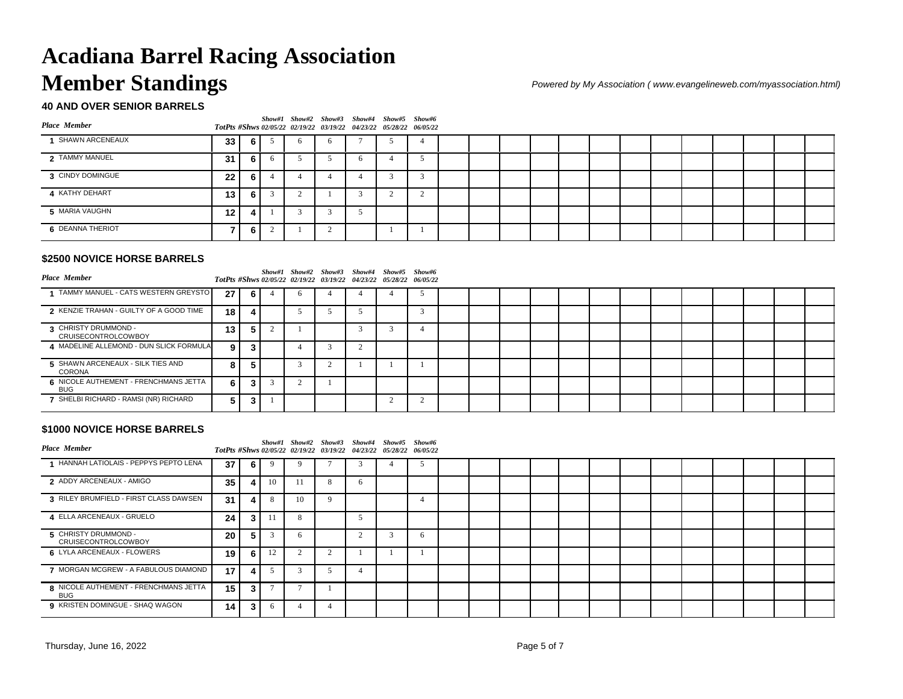## **40 AND OVER SENIOR BARRELS**

| Place Member     |                 |       |   | Show#1 Show#2 Show#3 Show#4 Show#5 Show#6<br>TotPts #Shws 02/05/22 02/19/22 03/19/22 04/23/22 05/28/22 06/05/22 |  |  |  |  |  |  |  |  |
|------------------|-----------------|-------|---|-----------------------------------------------------------------------------------------------------------------|--|--|--|--|--|--|--|--|
| SHAWN ARCENEAUX  | 33 <sup>1</sup> | 6 I   | 6 |                                                                                                                 |  |  |  |  |  |  |  |  |
| 2 TAMMY MANUEL   | 31 <sup>1</sup> | - 6 I |   |                                                                                                                 |  |  |  |  |  |  |  |  |
| 3 CINDY DOMINGUE | 22 <sub>1</sub> | - 6 I |   |                                                                                                                 |  |  |  |  |  |  |  |  |
| 4 KATHY DEHART   | 13 <sup>1</sup> | 6 I   |   |                                                                                                                 |  |  |  |  |  |  |  |  |
| 5 MARIA VAUGHN   | 12 I            | 4     |   |                                                                                                                 |  |  |  |  |  |  |  |  |
| 6 DEANNA THERIOT |                 | - 6 I |   |                                                                                                                 |  |  |  |  |  |  |  |  |

#### **\$2500 NOVICE HORSE BARRELS**

| <b>Place Member</b>                                 |                 |                |  | Show#1 Show#2 Show#3 Show#4 Show#5 Show#6<br>TotPts #Shws 02/05/22 02/19/22 03/19/22 04/23/22 05/28/22 06/05/22 |  |  |  |  |  |  |  |  |
|-----------------------------------------------------|-----------------|----------------|--|-----------------------------------------------------------------------------------------------------------------|--|--|--|--|--|--|--|--|
| TAMMY MANUEL - CATS WESTERN GREYSTO                 | 27              | 6.             |  |                                                                                                                 |  |  |  |  |  |  |  |  |
| 2 KENZIE TRAHAN - GUILTY OF A GOOD TIME             | 18 <sup>1</sup> |                |  |                                                                                                                 |  |  |  |  |  |  |  |  |
| 3 CHRISTY DRUMMOND -<br><b>CRUISECONTROLCOWBOY</b>  | 13              | 5.             |  |                                                                                                                 |  |  |  |  |  |  |  |  |
| 4 MADELINE ALLEMOND - DUN SLICK FORMULA             | 9               |                |  |                                                                                                                 |  |  |  |  |  |  |  |  |
| 5 SHAWN ARCENEAUX - SILK TIES AND<br>CORONA         | 8               | Ð.             |  |                                                                                                                 |  |  |  |  |  |  |  |  |
| 6 NICOLE AUTHEMENT - FRENCHMANS JETTA<br><b>BUG</b> | 6.              |                |  |                                                                                                                 |  |  |  |  |  |  |  |  |
| 7 SHELBI RICHARD - RAMSI (NR) RICHARD               | 5.              | 3 <sup>1</sup> |  |                                                                                                                 |  |  |  |  |  |  |  |  |

#### **\$1000 NOVICE HORSE BARRELS**

| <b>Place Member</b>                                 |                 |   |    |            | Show#1 Show#2 Show#3 Show#4 Show#5 Show#6<br>TotPts #Shws 02/05/22 02/19/22 03/19/22 04/23/22 05/28/22 06/05/22 |   |   |  |  |  |  |  |  |  |
|-----------------------------------------------------|-----------------|---|----|------------|-----------------------------------------------------------------------------------------------------------------|---|---|--|--|--|--|--|--|--|
| HANNAH LATIOLAIS - PEPPYS PEPTO LENA                | 37              | 6 |    |            |                                                                                                                 |   |   |  |  |  |  |  |  |  |
| 2 ADDY ARCENEAUX - AMIGO                            | 35              | 4 | 10 |            | -8                                                                                                              | 6 |   |  |  |  |  |  |  |  |
| 3 RILEY BRUMFIELD - FIRST CLASS DAWSEN              | 31              | 4 |    | 10         |                                                                                                                 |   |   |  |  |  |  |  |  |  |
| 4 ELLA ARCENEAUX - GRUELO                           | 24              | 3 |    | 8          |                                                                                                                 |   |   |  |  |  |  |  |  |  |
| 5 CHRISTY DRUMMOND -<br><b>CRUISECONTROLCOWBOY</b>  | 20              | 5 |    | h          |                                                                                                                 |   | 6 |  |  |  |  |  |  |  |
| 6 LYLA ARCENEAUX - FLOWERS                          | 19 <sup>1</sup> | 6 | 12 | $\sqrt{2}$ |                                                                                                                 |   |   |  |  |  |  |  |  |  |
| 7 MORGAN MCGREW - A FABULOUS DIAMOND                | 17              | 4 |    |            |                                                                                                                 |   |   |  |  |  |  |  |  |  |
| 8 NICOLE AUTHEMENT - FRENCHMANS JETTA<br><b>BUG</b> | 15 <sup>1</sup> | 3 |    |            |                                                                                                                 |   |   |  |  |  |  |  |  |  |
| 9 KRISTEN DOMINGUE - SHAQ WAGON                     | 14              | 3 |    |            |                                                                                                                 |   |   |  |  |  |  |  |  |  |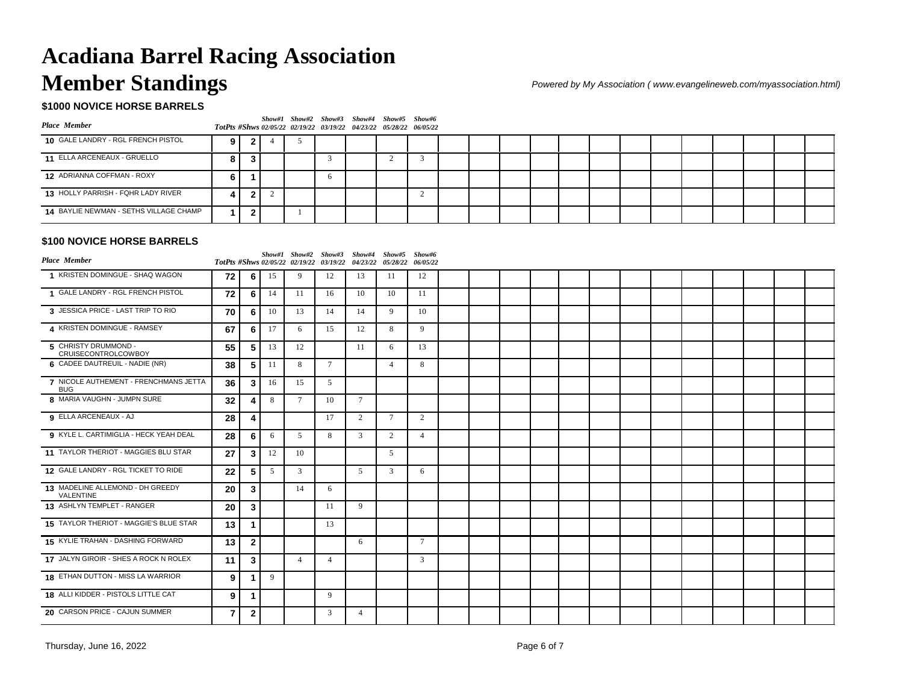## **\$1000 NOVICE HORSE BARRELS**

| <b>Place Member</b>                    |    |              |  | Show#1 Show#2 Show#3 Show#4 Show#5 Show#6<br>TotPts #Shws 02/05/22 02/19/22 03/19/22 04/23/22 05/28/22 06/05/22 |  |  |  |  |  |  |  |  |
|----------------------------------------|----|--------------|--|-----------------------------------------------------------------------------------------------------------------|--|--|--|--|--|--|--|--|
| 10 GALE LANDRY - RGL FRENCH PISTOL     | 9  |              |  |                                                                                                                 |  |  |  |  |  |  |  |  |
| 11 ELLA ARCENEAUX - GRUELLO            | 8. |              |  |                                                                                                                 |  |  |  |  |  |  |  |  |
| 12 ADRIANNA COFFMAN - ROXY             | 6. |              |  |                                                                                                                 |  |  |  |  |  |  |  |  |
| 13 HOLLY PARRISH - FQHR LADY RIVER     |    | $\mathbf{v}$ |  |                                                                                                                 |  |  |  |  |  |  |  |  |
| 14 BAYLIE NEWMAN - SETHS VILLAGE CHAMP |    |              |  |                                                                                                                 |  |  |  |  |  |  |  |  |
|                                        |    |              |  |                                                                                                                 |  |  |  |  |  |  |  |  |

### **\$100 NOVICE HORSE BARRELS**

| <b>Place Member</b>                                 |                |                |    | Show#1 Show#2 Show#3 Show#4 Show#5 Show#6<br>TotPts #Shws 02/05/22 02/19/22 03/19/22 04/23/22 05/28/22 |                 |                 |                | 06/05/22       |  |  |  |  |  |  |  |
|-----------------------------------------------------|----------------|----------------|----|--------------------------------------------------------------------------------------------------------|-----------------|-----------------|----------------|----------------|--|--|--|--|--|--|--|
| 1 KRISTEN DOMINGUE - SHAQ WAGON                     | 72             | 6              | 15 | 9                                                                                                      | 12              | 13              | 11             | 12             |  |  |  |  |  |  |  |
| 1 GALE LANDRY - RGL FRENCH PISTOL                   | 72             | 6              | 14 | 11                                                                                                     | 16              | 10              | 10             | 11             |  |  |  |  |  |  |  |
| 3 JESSICA PRICE - LAST TRIP TO RIO                  | 70             | 6              | 10 | 13                                                                                                     | 14              | 14              | 9              | 10             |  |  |  |  |  |  |  |
| 4 KRISTEN DOMINGUE - RAMSEY                         | 67             | 6              | 17 | 6                                                                                                      | 15              | 12              | 8              | 9              |  |  |  |  |  |  |  |
| 5 CHRISTY DRUMMOND -<br><b>CRUISECONTROLCOWBOY</b>  | 55             | 5              | 13 | 12                                                                                                     |                 | 11              | 6              | 13             |  |  |  |  |  |  |  |
| 6 CADEE DAUTREUIL - NADIE (NR)                      | 38             | 5              | 11 | 8                                                                                                      | $7\phantom{.0}$ |                 | $\overline{4}$ | 8              |  |  |  |  |  |  |  |
| 7 NICOLE AUTHEMENT - FRENCHMANS JETTA<br><b>BUG</b> | 36             | 3              | 16 | 15                                                                                                     | 5               |                 |                |                |  |  |  |  |  |  |  |
| 8 MARIA VAUGHN - JUMPN SURE                         | 32             | 4              | 8  | $7\phantom{.0}$                                                                                        | 10              | $7\phantom{.0}$ |                |                |  |  |  |  |  |  |  |
| 9 ELLA ARCENEAUX - AJ                               | 28             | 4              |    |                                                                                                        | 17              | 2               | 7              | 2              |  |  |  |  |  |  |  |
| 9 KYLE L. CARTIMIGLIA - HECK YEAH DEAL              | 28             | 6              | 6  | 5                                                                                                      | 8               | 3               | 2              | $\overline{4}$ |  |  |  |  |  |  |  |
| 11 TAYLOR THERIOT - MAGGIES BLU STAR                | 27             | $\mathbf{3}$   | 12 | 10                                                                                                     |                 |                 | 5              |                |  |  |  |  |  |  |  |
| 12 GALE LANDRY - RGL TICKET TO RIDE                 | 22             | 5              | 5  | 3                                                                                                      |                 | 5               | $\overline{3}$ | 6              |  |  |  |  |  |  |  |
| 13 MADELINE ALLEMOND - DH GREEDY<br>VALENTINE       | 20             | $\mathbf{3}$   |    | 14                                                                                                     | 6               |                 |                |                |  |  |  |  |  |  |  |
| 13 ASHLYN TEMPLET - RANGER                          | 20             | $\mathbf{3}$   |    |                                                                                                        | 11              | 9               |                |                |  |  |  |  |  |  |  |
| 15 TAYLOR THERIOT - MAGGIE'S BLUE STAR              | 13             |                |    |                                                                                                        | 13              |                 |                |                |  |  |  |  |  |  |  |
| 15 KYLIE TRAHAN - DASHING FORWARD                   | 13             | $\overline{2}$ |    |                                                                                                        |                 | 6               |                | $\overline{7}$ |  |  |  |  |  |  |  |
| 17 JALYN GIROIR - SHES A ROCK N ROLEX               | 11             | $\mathbf{3}$   |    | $\overline{4}$                                                                                         | $\overline{4}$  |                 |                | 3              |  |  |  |  |  |  |  |
| 18 ETHAN DUTTON - MISS LA WARRIOR                   | 9              | -1             | 9  |                                                                                                        |                 |                 |                |                |  |  |  |  |  |  |  |
| 18 ALLI KIDDER - PISTOLS LITTLE CAT                 | 9              | $\mathbf 1$    |    |                                                                                                        | 9               |                 |                |                |  |  |  |  |  |  |  |
| 20 CARSON PRICE - CAJUN SUMMER                      | $\overline{7}$ | $\overline{2}$ |    |                                                                                                        | $\mathbf{3}$    | $\overline{4}$  |                |                |  |  |  |  |  |  |  |